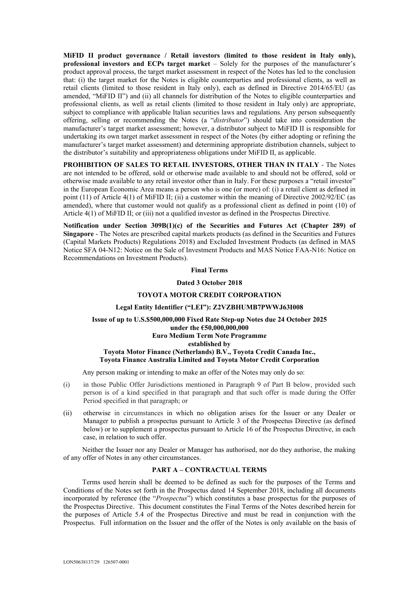**MiFID II product governance / Retail investors (limited to those resident in Italy only), professional investors and ECPs target market** – Solely for the purposes of the manufacturer's product approval process, the target market assessment in respect of the Notes has led to the conclusion that: (i) the target market for the Notes is eligible counterparties and professional clients, as well as retail clients (limited to those resident in Italy only), each as defined in Directive 2014/65/EU (as amended, "MiFID II") and (ii) all channels for distribution of the Notes to eligible counterparties and professional clients, as well as retail clients (limited to those resident in Italy only) are appropriate, subject to compliance with applicable Italian securities laws and regulations. Any person subsequently offering, selling or recommending the Notes (a "*distributor*") should take into consideration the manufacturer's target market assessment; however, a distributor subject to MiFID II is responsible for undertaking its own target market assessment in respect of the Notes (by either adopting or refining the manufacturer's target market assessment) and determining appropriate distribution channels, subject to the distributor's suitability and appropriateness obligations under MiFID II, as applicable.

**PROHIBITION OF SALES TO RETAIL INVESTORS, OTHER THAN IN ITALY** - The Notes are not intended to be offered, sold or otherwise made available to and should not be offered, sold or otherwise made available to any retail investor other than in Italy. For these purposes a "retail investor" in the European Economic Area means a person who is one (or more) of: (i) a retail client as defined in point (11) of Article 4(1) of MiFID II; (ii) a customer within the meaning of Directive 2002/92/EC (as amended), where that customer would not qualify as a professional client as defined in point (10) of Article 4(1) of MiFID II; or (iii) not a qualified investor as defined in the Prospectus Directive.

**Notification under Section 309B(1)(c) of the Securities and Futures Act (Chapter 289) of Singapore** - The Notes are prescribed capital markets products (as defined in the Securities and Futures (Capital Markets Products) Regulations 2018) and Excluded Investment Products (as defined in MAS Notice SFA 04-N12: Notice on the Sale of Investment Products and MAS Notice FAA-N16: Notice on Recommendations on Investment Products).

#### **Final Terms**

#### **Dated 3 October 2018**

#### **TOYOTA MOTOR CREDIT CORPORATION**

#### **Legal Entity Identifier ("LEI"): Z2VZBHUMB7PWWJ63I008**

# **Issue of up to U.S.\$500,000,000 Fixed Rate Step-up Notes due 24 October 2025 under the €50,000,000,000 Euro Medium Term Note Programme established by Toyota Motor Finance (Netherlands) B.V., Toyota Credit Canada Inc., Toyota Finance Australia Limited and Toyota Motor Credit Corporation**

Any person making or intending to make an offer of the Notes may only do so:

- (i) in those Public Offer Jurisdictions mentioned in Paragraph 9 of Part B below, provided such person is of a kind specified in that paragraph and that such offer is made during the Offer Period specified in that paragraph; or
- (ii) otherwise in circumstances in which no obligation arises for the Issuer or any Dealer or Manager to publish a prospectus pursuant to Article 3 of the Prospectus Directive (as defined below) or to supplement a prospectus pursuant to Article 16 of the Prospectus Directive, in each case, in relation to such offer.

Neither the Issuer nor any Dealer or Manager has authorised, nor do they authorise, the making of any offer of Notes in any other circumstances.

## **PART A – CONTRACTUAL TERMS**

Terms used herein shall be deemed to be defined as such for the purposes of the Terms and Conditions of the Notes set forth in the Prospectus dated 14 September 2018, including all documents incorporated by reference (the "*Prospectus*") which constitutes a base prospectus for the purposes of the Prospectus Directive. This document constitutes the Final Terms of the Notes described herein for the purposes of Article 5.4 of the Prospectus Directive and must be read in conjunction with the Prospectus. Full information on the Issuer and the offer of the Notes is only available on the basis of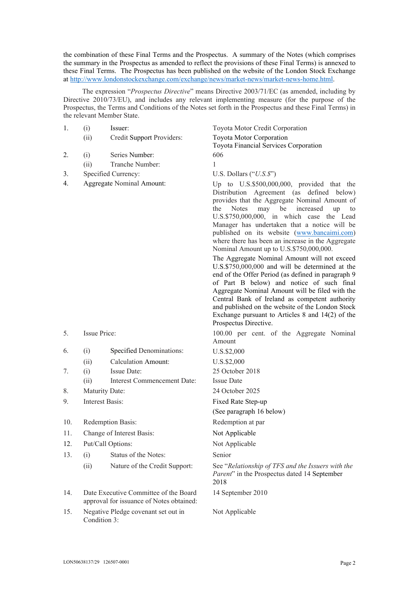the combination of these Final Terms and the Prospectus. A summary of the Notes (which comprises the summary in the Prospectus as amended to reflect the provisions of these Final Terms) is annexed to these Final Terms. The Prospectus has been published on the website of the London Stock Exchange at <http://www.londonstockexchange.com/exchange/news/market-news/market-news-home.html>.

The expression "*Prospectus Directive*" means Directive 2003/71/EC (as amended, including by Directive 2010/73/EU), and includes any relevant implementing measure (for the purpose of the Prospectus, the Terms and Conditions of the Notes set forth in the Prospectus and these Final Terms) in the relevant Member State.

| 1.  | (i)                                                                               | Issuer:                       | Toyota Motor Credit Corporation                                                                                                                                                                                                                                                                                                                                                                                                                                                                                                                                                                                                                                                                                                                                                                                                                                                                 |
|-----|-----------------------------------------------------------------------------------|-------------------------------|-------------------------------------------------------------------------------------------------------------------------------------------------------------------------------------------------------------------------------------------------------------------------------------------------------------------------------------------------------------------------------------------------------------------------------------------------------------------------------------------------------------------------------------------------------------------------------------------------------------------------------------------------------------------------------------------------------------------------------------------------------------------------------------------------------------------------------------------------------------------------------------------------|
|     | (ii)                                                                              | Credit Support Providers:     | Toyota Motor Corporation                                                                                                                                                                                                                                                                                                                                                                                                                                                                                                                                                                                                                                                                                                                                                                                                                                                                        |
|     |                                                                                   |                               | Toyota Financial Services Corporation                                                                                                                                                                                                                                                                                                                                                                                                                                                                                                                                                                                                                                                                                                                                                                                                                                                           |
| 2.  | (i)                                                                               | Series Number:                | 606                                                                                                                                                                                                                                                                                                                                                                                                                                                                                                                                                                                                                                                                                                                                                                                                                                                                                             |
|     | (ii)                                                                              | Tranche Number:               | 1                                                                                                                                                                                                                                                                                                                                                                                                                                                                                                                                                                                                                                                                                                                                                                                                                                                                                               |
| 3.  |                                                                                   | Specified Currency:           | U.S. Dollars $("U.S. $)$ "                                                                                                                                                                                                                                                                                                                                                                                                                                                                                                                                                                                                                                                                                                                                                                                                                                                                      |
| 4.  | Aggregate Nominal Amount:                                                         |                               | Up to U.S.\$500,000,000, provided that the<br>Distribution Agreement (as defined below)<br>provides that the Aggregate Nominal Amount of<br>the<br><b>Notes</b><br>may<br>be<br>increased<br>up<br>to<br>U.S.\$750,000,000, in which case the Lead<br>Manager has undertaken that a notice will be<br>published on its website (www.bancaimi.com)<br>where there has been an increase in the Aggregate<br>Nominal Amount up to U.S.\$750,000,000.<br>The Aggregate Nominal Amount will not exceed<br>U.S.\$750,000,000 and will be determined at the<br>end of the Offer Period (as defined in paragraph 9<br>of Part B below) and notice of such final<br>Aggregate Nominal Amount will be filed with the<br>Central Bank of Ireland as competent authority<br>and published on the website of the London Stock<br>Exchange pursuant to Articles 8 and $14(2)$ of the<br>Prospectus Directive. |
| 5.  | Issue Price:                                                                      |                               | 100.00 per cent. of the Aggregate Nominal<br>Amount                                                                                                                                                                                                                                                                                                                                                                                                                                                                                                                                                                                                                                                                                                                                                                                                                                             |
| 6.  | (i)                                                                               | Specified Denominations:      | U.S.\$2,000                                                                                                                                                                                                                                                                                                                                                                                                                                                                                                                                                                                                                                                                                                                                                                                                                                                                                     |
|     | (ii)                                                                              | <b>Calculation Amount:</b>    | U.S.\$2,000                                                                                                                                                                                                                                                                                                                                                                                                                                                                                                                                                                                                                                                                                                                                                                                                                                                                                     |
| 7.  | (i)                                                                               | Issue Date:                   | 25 October 2018                                                                                                                                                                                                                                                                                                                                                                                                                                                                                                                                                                                                                                                                                                                                                                                                                                                                                 |
|     | (ii)                                                                              | Interest Commencement Date:   | <b>Issue Date</b>                                                                                                                                                                                                                                                                                                                                                                                                                                                                                                                                                                                                                                                                                                                                                                                                                                                                               |
| 8.  | Maturity Date:                                                                    |                               | 24 October 2025                                                                                                                                                                                                                                                                                                                                                                                                                                                                                                                                                                                                                                                                                                                                                                                                                                                                                 |
| 9.  | <b>Interest Basis:</b>                                                            |                               | Fixed Rate Step-up<br>(See paragraph 16 below)                                                                                                                                                                                                                                                                                                                                                                                                                                                                                                                                                                                                                                                                                                                                                                                                                                                  |
| 10. | Redemption Basis:                                                                 |                               | Redemption at par                                                                                                                                                                                                                                                                                                                                                                                                                                                                                                                                                                                                                                                                                                                                                                                                                                                                               |
| 11. | Change of Interest Basis:                                                         |                               | Not Applicable                                                                                                                                                                                                                                                                                                                                                                                                                                                                                                                                                                                                                                                                                                                                                                                                                                                                                  |
| 12. | Put/Call Options:                                                                 |                               | Not Applicable                                                                                                                                                                                                                                                                                                                                                                                                                                                                                                                                                                                                                                                                                                                                                                                                                                                                                  |
| 13. | (i)                                                                               | Status of the Notes:          | Senior                                                                                                                                                                                                                                                                                                                                                                                                                                                                                                                                                                                                                                                                                                                                                                                                                                                                                          |
|     | (ii)                                                                              | Nature of the Credit Support: | See "Relationship of TFS and the Issuers with the<br>Parent" in the Prospectus dated 14 September<br>2018                                                                                                                                                                                                                                                                                                                                                                                                                                                                                                                                                                                                                                                                                                                                                                                       |
| 14. | Date Executive Committee of the Board<br>approval for issuance of Notes obtained: |                               | 14 September 2010                                                                                                                                                                                                                                                                                                                                                                                                                                                                                                                                                                                                                                                                                                                                                                                                                                                                               |
| 15. | Negative Pledge covenant set out in<br>Condition 3:                               |                               | Not Applicable                                                                                                                                                                                                                                                                                                                                                                                                                                                                                                                                                                                                                                                                                                                                                                                                                                                                                  |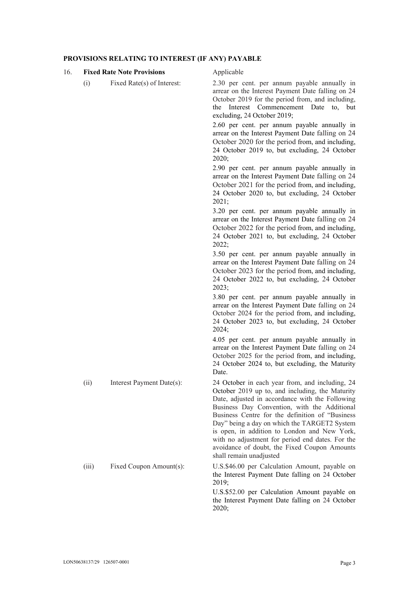## **PROVISIONS RELATING TO INTEREST (IF ANY) PAYABLE**

#### 16. **Fixed Rate Note Provisions** Applicable

(i) Fixed Rate(s) of Interest: 2.30 per cent. per annum payable annually in arrear on the Interest Payment Date falling on 24 October 2019 for the period from, and including, the Interest Commencement Date to, but excluding, 24 October 2019;

> 2.60 per cent. per annum payable annually in arrear on the Interest Payment Date falling on 24 October 2020 for the period from, and including, 24 October 2019 to, but excluding, 24 October 2020;

> 2.90 per cent. per annum payable annually in arrear on the Interest Payment Date falling on 24 October 2021 for the period from, and including, 24 October 2020 to, but excluding, 24 October 2021;

> 3.20 per cent. per annum payable annually in arrear on the Interest Payment Date falling on 24 October 2022 for the period from, and including, 24 October 2021 to, but excluding, 24 October  $2022$

> 3.50 per cent. per annum payable annually in arrear on the Interest Payment Date falling on 24 October 2023 for the period from, and including, 24 October 2022 to, but excluding, 24 October 2023;

> 3.80 per cent. per annum payable annually in arrear on the Interest Payment Date falling on 24 October 2024 for the period from, and including, 24 October 2023 to, but excluding, 24 October  $2024$

> 4.05 per cent. per annum payable annually in arrear on the Interest Payment Date falling on 24 October 2025 for the period from, and including, 24 October 2024 to, but excluding, the Maturity Date.

(ii) Interest Payment Date(s): 24 October in each year from, and including, 24 October 2019 up to, and including, the Maturity Date, adjusted in accordance with the Following Business Day Convention, with the Additional Business Centre for the definition of "Business Day" being a day on which the TARGET2 System is open, in addition to London and New York, with no adjustment for period end dates. For the avoidance of doubt, the Fixed Coupon Amounts shall remain unadjusted

(iii) Fixed Coupon Amount(s): U.S.\$46.00 per Calculation Amount, payable on the Interest Payment Date falling on 24 October 2019;

> U.S.\$52.00 per Calculation Amount payable on the Interest Payment Date falling on 24 October 2020;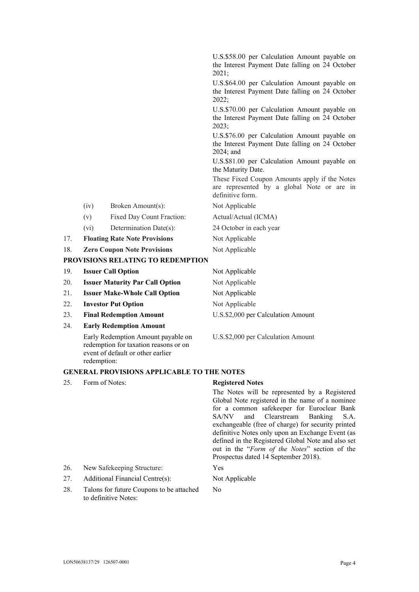|     |                                        |                                          | U.S.\$58.00 per Calculation Amount payable on<br>the Interest Payment Date falling on 24 October<br>2021;<br>U.S.\$64.00 per Calculation Amount payable on<br>the Interest Payment Date falling on 24 October |
|-----|----------------------------------------|------------------------------------------|---------------------------------------------------------------------------------------------------------------------------------------------------------------------------------------------------------------|
|     |                                        |                                          | 2022;<br>U.S.\$70.00 per Calculation Amount payable on<br>the Interest Payment Date falling on 24 October<br>2023;                                                                                            |
|     |                                        |                                          | U.S.\$76.00 per Calculation Amount payable on<br>the Interest Payment Date falling on 24 October<br>2024; and                                                                                                 |
|     |                                        |                                          | U.S.\$81.00 per Calculation Amount payable on<br>the Maturity Date.                                                                                                                                           |
|     |                                        |                                          | These Fixed Coupon Amounts apply if the Notes<br>are represented by a global Note or are in<br>definitive form                                                                                                |
|     | (iv)                                   | Broken Amount(s):                        | Not Applicable                                                                                                                                                                                                |
|     | (v)                                    | Fixed Day Count Fraction:                | Actual/Actual (ICMA)                                                                                                                                                                                          |
|     | (vi)                                   | Determination Date(s):                   | 24 October in each year                                                                                                                                                                                       |
| 17. |                                        | <b>Floating Rate Note Provisions</b>     | Not Applicable                                                                                                                                                                                                |
| 18. |                                        | <b>Zero Coupon Note Provisions</b>       | Not Applicable                                                                                                                                                                                                |
|     |                                        | <b>PROVISIONS RELATING TO REDEMPTION</b> |                                                                                                                                                                                                               |
| 19. | <b>Issuer Call Option</b>              |                                          | Not Applicable                                                                                                                                                                                                |
| 20. | <b>Issuer Maturity Par Call Option</b> |                                          | Not Applicable                                                                                                                                                                                                |
| 21. | <b>Issuer Make-Whole Call Option</b>   |                                          | Not Applicable                                                                                                                                                                                                |
| 22. | <b>Investor Put Option</b>             |                                          | Not Applicable                                                                                                                                                                                                |
| 23. | <b>Final Redemption Amount</b>         |                                          | U.S.\$2,000 per Calculation Amount                                                                                                                                                                            |
| 24. |                                        | <b>Early Redemption Amount</b>           |                                                                                                                                                                                                               |
|     |                                        |                                          |                                                                                                                                                                                                               |

Early Redemption Amount payable on redemption for taxation reasons or on event of default or other earlier redemption:

U.S.\$2,000 per Calculation Amount

# **GENERAL PROVISIONS APPLICABLE TO THE NOTES**

25. Form of Notes: **Registered Notes**

No

The Notes will be represented by a Registered Global Note registered in the name of a nominee for a common safekeeper for Euroclear Bank SA/NV and Clearstream Banking S.A. exchangeable (free of charge) for security printed definitive Notes only upon an Exchange Event (as defined in the Registered Global Note and also set out in the "*Form of the Notes*" section of the Prospectus dated 14 September 2018).

- 26. New Safekeeping Structure: Yes
- 27. Additional Financial Centre(s): Not Applicable
- 28. Talons for future Coupons to be attached to definitive Notes: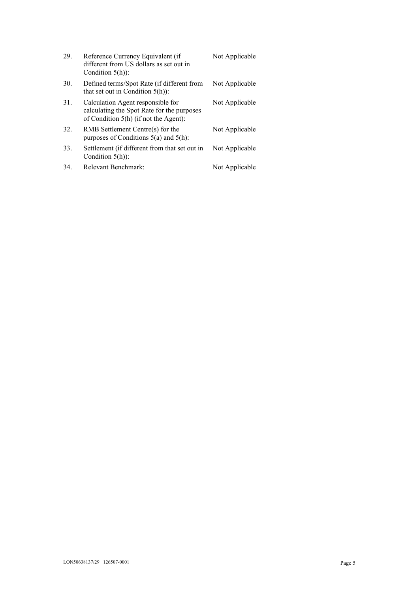| 29. | Reference Currency Equivalent (if<br>different from US dollars as set out in<br>Condition $5(h)$ :                         | Not Applicable |
|-----|----------------------------------------------------------------------------------------------------------------------------|----------------|
| 30. | Defined terms/Spot Rate (if different from<br>that set out in Condition $5(h)$ :                                           | Not Applicable |
| 31. | Calculation Agent responsible for<br>calculating the Spot Rate for the purposes<br>of Condition $5(h)$ (if not the Agent): | Not Applicable |
| 32. | RMB Settlement Centre(s) for the<br>purposes of Conditions $5(a)$ and $5(h)$ :                                             | Not Applicable |
| 33. | Settlement (if different from that set out in<br>Condition $5(h)$ :                                                        | Not Applicable |
| 34. | Relevant Benchmark:                                                                                                        | Not Applicable |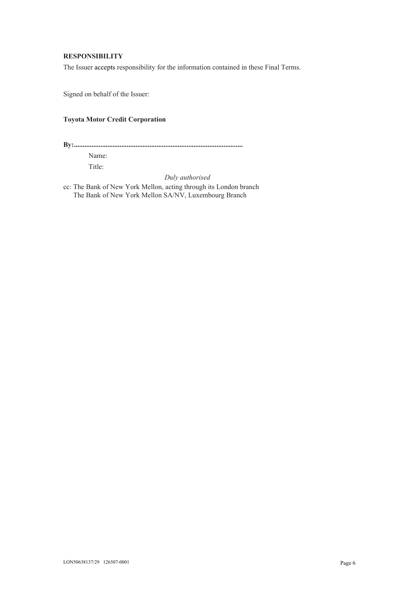# **RESPONSIBILITY**

The Issuer accepts responsibility for the information contained in these Final Terms.

Signed on behalf of the Issuer:

# **Toyota Motor Credit Corporation**

**By:................................................................................................**

Name: Title:

*Duly authorised*

cc: The Bank of New York Mellon, acting through its London branch The Bank of New York Mellon SA/NV, Luxembourg Branch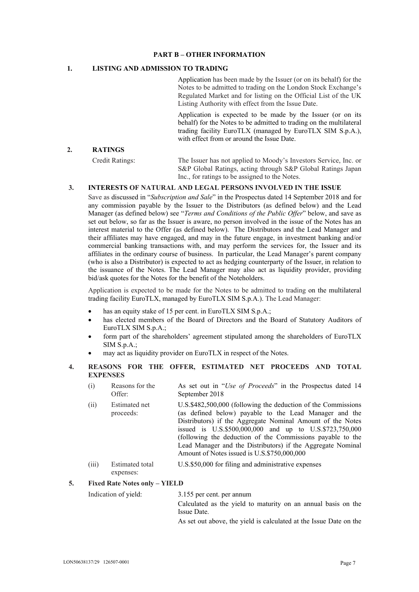## **PART B – OTHER INFORMATION**

# **1. LISTING AND ADMISSION TO TRADING**

Application has been made by the Issuer (or on its behalf) for the Notes to be admitted to trading on the London Stock Exchange's Regulated Market and for listing on the Official List of the UK Listing Authority with effect from the Issue Date.

Application is expected to be made by the Issuer (or on its behalf) for the Notes to be admitted to trading on the multilateral trading facility EuroTLX (managed by EuroTLX SIM S.p.A.), with effect from or around the Issue Date.

# **2. RATINGS**

Credit Ratings: The Issuer has not applied to Moody's Investors Service, Inc. or S&P Global Ratings, acting through S&P Global Ratings Japan Inc., for ratings to be assigned to the Notes.

# **3. INTERESTS OF NATURAL AND LEGAL PERSONS INVOLVED IN THE ISSUE**

Save as discussed in "*Subscription and Sale*" in the Prospectus dated 14 September 2018 and for any commission payable by the Issuer to the Distributors (as defined below) and the Lead Manager (as defined below) see "*Terms and Conditions of the Public Offer*" below, and save as set out below, so far as the Issuer is aware, no person involved in the issue of the Notes has an interest material to the Offer (as defined below). The Distributors and the Lead Manager and their affiliates may have engaged, and may in the future engage, in investment banking and/or commercial banking transactions with, and may perform the services for, the Issuer and its affiliates in the ordinary course of business. In particular, the Lead Manager's parent company (who is also a Distributor) is expected to act as hedging counterparty of the Issuer, in relation to the issuance of the Notes. The Lead Manager may also act as liquidity provider, providing bid/ask quotes for the Notes for the benefit of the Noteholders.

Application is expected to be made for the Notes to be admitted to trading on the multilateral trading facility EuroTLX, managed by EuroTLX SIM S.p.A.). The Lead Manager:

- has an equity stake of 15 per cent. in EuroTLX SIM S.p.A.;
- has elected members of the Board of Directors and the Board of Statutory Auditors of EuroTLX SIM S.p.A.;
- form part of the shareholders' agreement stipulated among the shareholders of EuroTLX SIM S.p.A.;
- may act as liquidity provider on EuroTLX in respect of the Notes.

# **4. REASONS FOR THE OFFER, ESTIMATED NET PROCEEDS AND TOTAL EXPENSES**

- (i) Reasons for the Offer: As set out in "*Use of Proceeds*" in the Prospectus dated 14 September 2018
- (ii) Estimated net proceeds: U.S.\$482,500,000 (following the deduction of the Commissions (as defined below) payable to the Lead Manager and the Distributors) if the Aggregate Nominal Amount of the Notes issued is U.S.\$500,000,000 and up to U.S.\$723,750,000 (following the deduction of the Commissions payable to the Lead Manager and the Distributors) if the Aggregate Nominal Amount of Notes issued is U.S.\$750,000,000
- (iii) Estimated total expenses: U.S.\$50,000 for filing and administrative expenses

**5. Fixed Rate Notes only – YIELD**

Indication of yield: 3.155 per cent. per annum Calculated as the yield to maturity on an annual basis on the Issue Date.

As set out above, the yield is calculated at the Issue Date on the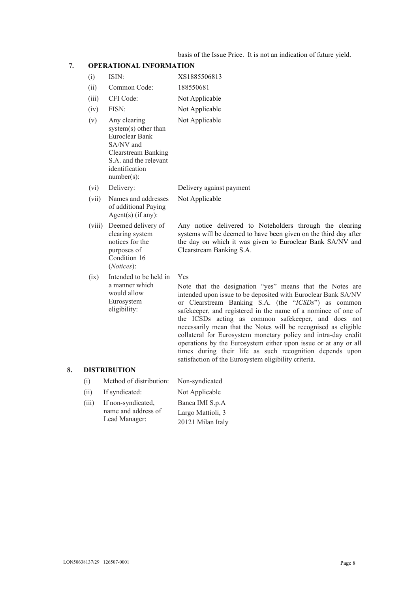basis of the Issue Price. It is not an indication of future yield.

| 7. |        | <b>OPERATIONAL INFORMATION</b>                                                                                                                                |                                                                                                                                                                                                                                                                                                                                                                                                                                                                                                                                                                                                                                            |  |  |
|----|--------|---------------------------------------------------------------------------------------------------------------------------------------------------------------|--------------------------------------------------------------------------------------------------------------------------------------------------------------------------------------------------------------------------------------------------------------------------------------------------------------------------------------------------------------------------------------------------------------------------------------------------------------------------------------------------------------------------------------------------------------------------------------------------------------------------------------------|--|--|
|    | (i)    | ISIN:                                                                                                                                                         | XS1885506813                                                                                                                                                                                                                                                                                                                                                                                                                                                                                                                                                                                                                               |  |  |
|    | (ii)   | Common Code:                                                                                                                                                  | 188550681                                                                                                                                                                                                                                                                                                                                                                                                                                                                                                                                                                                                                                  |  |  |
|    | (iii)  | CFI Code:                                                                                                                                                     | Not Applicable                                                                                                                                                                                                                                                                                                                                                                                                                                                                                                                                                                                                                             |  |  |
|    | (iv)   | FISN:                                                                                                                                                         | Not Applicable                                                                                                                                                                                                                                                                                                                                                                                                                                                                                                                                                                                                                             |  |  |
|    | (v)    | Any clearing<br>system(s) other than<br>Euroclear Bank<br>SA/NV and<br><b>Clearstream Banking</b><br>S.A. and the relevant<br>identification<br>$number(s)$ : | Not Applicable                                                                                                                                                                                                                                                                                                                                                                                                                                                                                                                                                                                                                             |  |  |
|    | (vi)   | Delivery:                                                                                                                                                     | Delivery against payment                                                                                                                                                                                                                                                                                                                                                                                                                                                                                                                                                                                                                   |  |  |
|    | (vii)  | Names and addresses<br>of additional Paying<br>Agent(s) (if any):                                                                                             | Not Applicable                                                                                                                                                                                                                                                                                                                                                                                                                                                                                                                                                                                                                             |  |  |
|    | (viii) | Deemed delivery of<br>clearing system<br>notices for the<br>purposes of<br>Condition 16<br>(Notices):                                                         | Any notice delivered to Noteholders through the clearing<br>systems will be deemed to have been given on the third day after<br>the day on which it was given to Euroclear Bank SA/NV and<br>Clearstream Banking S.A.                                                                                                                                                                                                                                                                                                                                                                                                                      |  |  |
|    | (ix)   | Intended to be held in<br>a manner which<br>would allow<br>Eurosystem<br>eligibility:                                                                         | Yes<br>Note that the designation "yes" means that the Notes are<br>intended upon issue to be deposited with Euroclear Bank SA/NV<br>or Clearstream Banking S.A. (the "ICSDs") as common<br>safekeeper, and registered in the name of a nominee of one of<br>the ICSDs acting as common safekeeper, and does not<br>necessarily mean that the Notes will be recognised as eligible<br>collateral for Eurosystem monetary policy and intra-day credit<br>operations by the Eurosystem either upon issue or at any or all<br>times during their life as such recognition depends upon<br>satisfaction of the Eurosystem eligibility criteria. |  |  |
| 8. |        | <b>DISTRIBUTION</b>                                                                                                                                           |                                                                                                                                                                                                                                                                                                                                                                                                                                                                                                                                                                                                                                            |  |  |
|    | (i)    | Method of distribution:                                                                                                                                       | Non-syndicated                                                                                                                                                                                                                                                                                                                                                                                                                                                                                                                                                                                                                             |  |  |
|    | (ii)   | If syndicated:                                                                                                                                                | Not Applicable                                                                                                                                                                                                                                                                                                                                                                                                                                                                                                                                                                                                                             |  |  |
|    | (iii)  | If non-syndicated,<br>name and address of                                                                                                                     | Banca IMI S.p.A<br>$\mathbf{r} = \mathbf{M} \mathbf{u}^* \mathbf{u}^*$                                                                                                                                                                                                                                                                                                                                                                                                                                                                                                                                                                     |  |  |

name and address of Lead Manager: Largo Mattioli, 3 20121 Milan Italy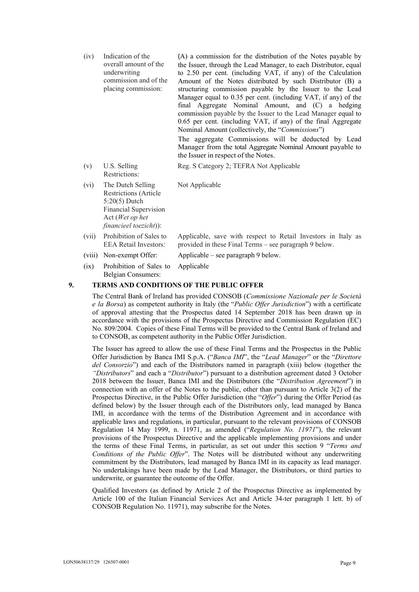| (iv)  | Indication of the<br>overall amount of the<br>underwriting<br>commission and of the<br>placing commission:                                              | (A) a commission for the distribution of the Notes payable by<br>the Issuer, through the Lead Manager, to each Distributor, equal<br>to 2.50 per cent. (including VAT, if any) of the Calculation<br>Amount of the Notes distributed by such Distributor (B) a<br>structuring commission payable by the Issuer to the Lead<br>Manager equal to 0.35 per cent. (including VAT, if any) of the<br>final Aggregate Nominal Amount, and (C) a hedging<br>commission payable by the Issuer to the Lead Manager equal to<br>0.65 per cent. (including VAT, if any) of the final Aggregate<br>Nominal Amount (collectively, the "Commissions")<br>The aggregate Commissions will be deducted by Lead<br>Manager from the total Aggregate Nominal Amount payable to<br>the Issuer in respect of the Notes. |
|-------|---------------------------------------------------------------------------------------------------------------------------------------------------------|----------------------------------------------------------------------------------------------------------------------------------------------------------------------------------------------------------------------------------------------------------------------------------------------------------------------------------------------------------------------------------------------------------------------------------------------------------------------------------------------------------------------------------------------------------------------------------------------------------------------------------------------------------------------------------------------------------------------------------------------------------------------------------------------------|
| (v)   | U.S. Selling<br>Restrictions:                                                                                                                           | Reg. S Category 2; TEFRA Not Applicable                                                                                                                                                                                                                                                                                                                                                                                                                                                                                                                                                                                                                                                                                                                                                            |
| (vi)  | The Dutch Selling<br><b>Restrictions (Article</b><br>$5:20(5)$ Dutch<br><b>Financial Supervision</b><br>Act (Wet op het<br>$\{financieel\ toezicht\}$ : | Not Applicable                                                                                                                                                                                                                                                                                                                                                                                                                                                                                                                                                                                                                                                                                                                                                                                     |
| (vii) | Prohibition of Sales to<br><b>EEA Retail Investors:</b>                                                                                                 | Applicable, save with respect to Retail Investors in Italy as<br>provided in these Final Terms - see paragraph 9 below.                                                                                                                                                                                                                                                                                                                                                                                                                                                                                                                                                                                                                                                                            |

(viii) Non-exempt Offer: Applicable – see paragraph 9 below.

(ix) Prohibition of Sales to Belgian Consumers: Applicable

## **9. TERMS AND CONDITIONS OF THE PUBLIC OFFER**

The Central Bank of Ireland has provided CONSOB (*Commissione Nazionale per le Società e la Borsa*) as competent authority in Italy (the "*Public Offer Jurisdiction*") with a certificate of approval attesting that the Prospectus dated 14 September 2018 has been drawn up in accordance with the provisions of the Prospectus Directive and Commission Regulation (EC) No. 809/2004. Copies of these Final Terms will be provided to the Central Bank of Ireland and to CONSOB, as competent authority in the Public Offer Jurisdiction.

The Issuer has agreed to allow the use of these Final Terms and the Prospectus in the Public Offer Jurisdiction by Banca IMI S.p.A. ("*Banca IMI*", the "*Lead Manager*" or the "*Direttore del Consorzio*") and each of the Distributors named in paragraph (xiii) below (together the *"Distributors*" and each a "*Distributor*") pursuant to a distribution agreement dated 3 October 2018 between the Issuer, Banca IMI and the Distributors (the "*Distribution Agreement*") in connection with an offer of the Notes to the public, other than pursuant to Article 3(2) of the Prospectus Directive, in the Public Offer Jurisdiction (the "*Offer*") during the Offer Period (as defined below) by the Issuer through each of the Distributors only, lead managed by Banca IMI, in accordance with the terms of the Distribution Agreement and in accordance with applicable laws and regulations, in particular, pursuant to the relevant provisions of CONSOB Regulation 14 May 1999, n. 11971, as amended ("*Regulation No. 11971*"), the relevant provisions of the Prospectus Directive and the applicable implementing provisions and under the terms of these Final Terms, in particular, as set out under this section 9 "*Terms and Conditions of the Public Offer*". The Notes will be distributed without any underwriting commitment by the Distributors, lead managed by Banca IMI in its capacity as lead manager. No undertakings have been made by the Lead Manager, the Distributors, or third parties to underwrite, or guarantee the outcome of the Offer.

Qualified Investors (as defined by Article 2 of the Prospectus Directive as implemented by Article 100 of the Italian Financial Services Act and Article 34-ter paragraph 1 lett. b) of CONSOB Regulation No. 11971), may subscribe for the Notes.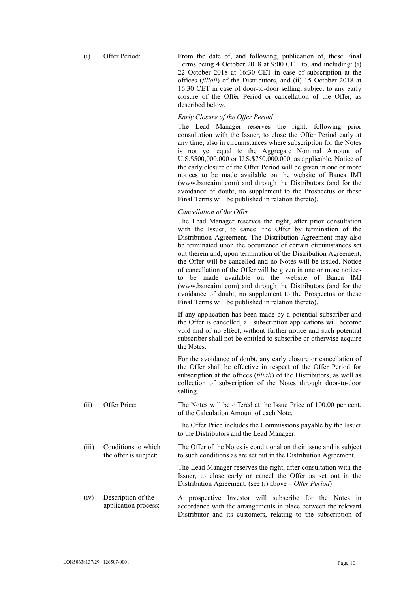(i) Offer Period: From the date of, and following, publication of, these Final Terms being 4 October 2018 at 9:00 CET to, and including: (i) 22 October 2018 at 16:30 CET in case of subscription at the offices (*filiali*) of the Distributors, and (ii) 15 October 2018 at 16:30 CET in case of door-to-door selling, subject to any early closure of the Offer Period or cancellation of the Offer, as described below.

#### *Early Closure of the Offer Period*

The Lead Manager reserves the right, following prior consultation with the Issuer, to close the Offer Period early at any time, also in circumstances where subscription for the Notes is not yet equal to the Aggregate Nominal Amount of U.S.\$500,000,000 or U.S.\$750,000,000, as applicable. Notice of the early closure of the Offer Period will be given in one or more notices to be made available on the website of Banca IMI (www.bancaimi.com) and through the Distributors (and for the avoidance of doubt, no supplement to the Prospectus or these Final Terms will be published in relation thereto).

## *Cancellation of the Offer*

The Lead Manager reserves the right, after prior consultation with the Issuer, to cancel the Offer by termination of the Distribution Agreement. The Distribution Agreement may also be terminated upon the occurrence of certain circumstances set out therein and, upon termination of the Distribution Agreement, the Offer will be cancelled and no Notes will be issued. Notice of cancellation of the Offer will be given in one or more notices to be made available on the website of Banca IMI (www.bancaimi.com) and through the Distributors (and for the avoidance of doubt, no supplement to the Prospectus or these Final Terms will be published in relation thereto).

If any application has been made by a potential subscriber and the Offer is cancelled, all subscription applications will become void and of no effect, without further notice and such potential subscriber shall not be entitled to subscribe or otherwise acquire the Notes.

For the avoidance of doubt, any early closure or cancellation of the Offer shall be effective in respect of the Offer Period for subscription at the offices (*filiali*) of the Distributors, as well as collection of subscription of the Notes through door-to-door selling.

(ii) Offer Price: The Notes will be offered at the Issue Price of 100.00 per cent. of the Calculation Amount of each Note.

> The Offer Price includes the Commissions payable by the Issuer to the Distributors and the Lead Manager.

(iii) Conditions to which the offer is subject: The Offer of the Notes is conditional on their issue and is subject to such conditions as are set out in the Distribution Agreement.

> The Lead Manager reserves the right, after consultation with the Issuer, to close early or cancel the Offer as set out in the Distribution Agreement. (see (i) above – *Offer Period*)

(iv) Description of the application process: A prospective Investor will subscribe for the Notes in accordance with the arrangements in place between the relevant Distributor and its customers, relating to the subscription of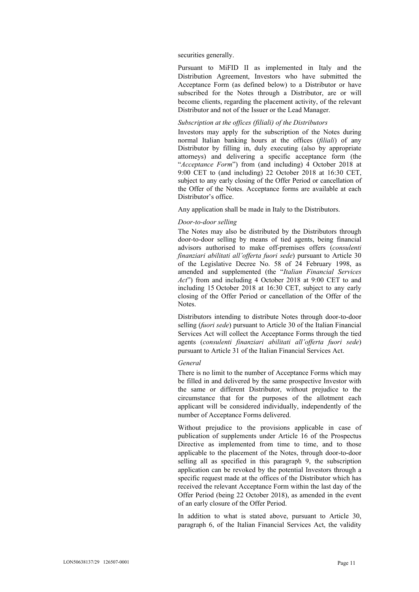securities generally.

Pursuant to MiFID II as implemented in Italy and the Distribution Agreement, Investors who have submitted the Acceptance Form (as defined below) to a Distributor or have subscribed for the Notes through a Distributor, are or will become clients, regarding the placement activity, of the relevant Distributor and not of the Issuer or the Lead Manager.

# *Subscription at the offices (filiali) of the Distributors*

Investors may apply for the subscription of the Notes during normal Italian banking hours at the offices (*filiali*) of any Distributor by filling in, duly executing (also by appropriate attorneys) and delivering a specific acceptance form (the "*Acceptance Form*") from (and including) 4 October 2018 at 9:00 CET to (and including) 22 October 2018 at 16:30 CET, subject to any early closing of the Offer Period or cancellation of the Offer of the Notes. Acceptance forms are available at each Distributor's office.

Any application shall be made in Italy to the Distributors.

#### *Door-to-door selling*

The Notes may also be distributed by the Distributors through door-to-door selling by means of tied agents, being financial advisors authorised to make off-premises offers (*consulenti finanziari abilitati all'offerta fuori sede*) pursuant to Article 30 of the Legislative Decree No. 58 of 24 February 1998, as amended and supplemented (the "*Italian Financial Services Act*") from and including 4 October 2018 at 9:00 CET to and including 15 October 2018 at 16:30 CET, subject to any early closing of the Offer Period or cancellation of the Offer of the Notes.

Distributors intending to distribute Notes through door-to-door selling (*fuori sede*) pursuant to Article 30 of the Italian Financial Services Act will collect the Acceptance Forms through the tied agents (*consulenti finanziari abilitati all'offerta fuori sede*) pursuant to Article 31 of the Italian Financial Services Act.

#### *General*

There is no limit to the number of Acceptance Forms which may be filled in and delivered by the same prospective Investor with the same or different Distributor, without prejudice to the circumstance that for the purposes of the allotment each applicant will be considered individually, independently of the number of Acceptance Forms delivered.

Without prejudice to the provisions applicable in case of publication of supplements under Article 16 of the Prospectus Directive as implemented from time to time, and to those applicable to the placement of the Notes, through door-to-door selling all as specified in this paragraph 9, the subscription application can be revoked by the potential Investors through a specific request made at the offices of the Distributor which has received the relevant Acceptance Form within the last day of the Offer Period (being 22 October 2018), as amended in the event of an early closure of the Offer Period.

In addition to what is stated above, pursuant to Article 30, paragraph 6, of the Italian Financial Services Act, the validity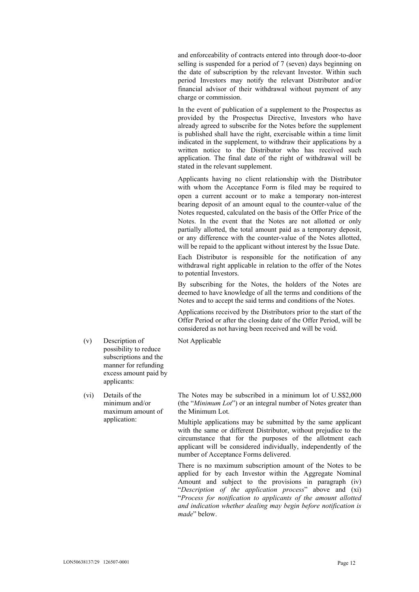and enforceability of contracts entered into through door-to-door selling is suspended for a period of 7 (seven) days beginning on the date of subscription by the relevant Investor. Within such period Investors may notify the relevant Distributor and/or financial advisor of their withdrawal without payment of any charge or commission.

In the event of publication of a supplement to the Prospectus as provided by the Prospectus Directive, Investors who have already agreed to subscribe for the Notes before the supplement is published shall have the right, exercisable within a time limit indicated in the supplement, to withdraw their applications by a written notice to the Distributor who has received such application. The final date of the right of withdrawal will be stated in the relevant supplement.

Applicants having no client relationship with the Distributor with whom the Acceptance Form is filed may be required to open a current account or to make a temporary non-interest bearing deposit of an amount equal to the counter-value of the Notes requested, calculated on the basis of the Offer Price of the Notes. In the event that the Notes are not allotted or only partially allotted, the total amount paid as a temporary deposit, or any difference with the counter-value of the Notes allotted, will be repaid to the applicant without interest by the Issue Date.

Each Distributor is responsible for the notification of any withdrawal right applicable in relation to the offer of the Notes to potential Investors.

By subscribing for the Notes, the holders of the Notes are deemed to have knowledge of all the terms and conditions of the Notes and to accept the said terms and conditions of the Notes.

Applications received by the Distributors prior to the start of the Offer Period or after the closing date of the Offer Period, will be considered as not having been received and will be void.

Not Applicable

- (v) Description of possibility to reduce subscriptions and the manner for refunding excess amount paid by applicants:
- (vi) Details of the minimum and/or maximum amount of application:

The Notes may be subscribed in a minimum lot of U.S\$2,000 (the "*Minimum Lot*") or an integral number of Notes greater than the Minimum Lot.

Multiple applications may be submitted by the same applicant with the same or different Distributor, without prejudice to the circumstance that for the purposes of the allotment each applicant will be considered individually, independently of the number of Acceptance Forms delivered.

There is no maximum subscription amount of the Notes to be applied for by each Investor within the Aggregate Nominal Amount and subject to the provisions in paragraph (iv) "*Description of the application process*" above and (xi) "*Process for notification to applicants of the amount allotted and indication whether dealing may begin before notification is made*" below.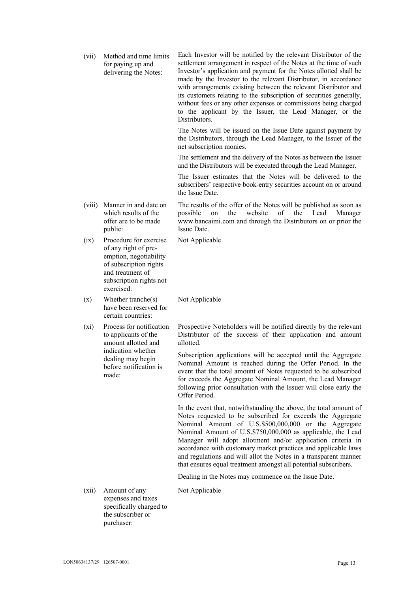(vii) Method and time limits for paying up and delivering the Notes: Each Investor will be notified by the relevant Distributor of the settlement arrangement in respect of the Notes at the time of such Investor's application and payment for the Notes allotted shall be made by the Investor to the relevant Distributor, in accordance with arrangements existing between the relevant Distributor and its customers relating to the subscription of securities generally, without fees or any other expenses or commissions being charged to the applicant by the Issuer, the Lead Manager, or the Distributors. The Notes will be issued on the Issue Date against payment by the Distributors, through the Lead Manager, to the Issuer of the net subscription monies. The settlement and the delivery of the Notes as between the Issuer and the Distributors will be executed through the Lead Manager. The Issuer estimates that the Notes will be delivered to the subscribers' respective book-entry securities account on or around the Issue Date. (viii) Manner in and date on which results of the offer are to be made public: The results of the offer of the Notes will be published as soon as possible on the website of the Lead Manager www.bancaimi.com and through the Distributors on or prior the Issue Date. (ix) Procedure for exercise of any right of preemption, negotiability of subscription rights and treatment of subscription rights not exercised: Not Applicable (x) Whether tranche(s) have been reserved for certain countries: Not Applicable (xi) Process for notification to applicants of the amount allotted and indication whether dealing may begin before notification is made: Prospective Noteholders will be notified directly by the relevant Distributor of the success of their application and amount allotted. Subscription applications will be accepted until the Aggregate Nominal Amount is reached during the Offer Period. In the event that the total amount of Notes requested to be subscribed for exceeds the Aggregate Nominal Amount, the Lead Manager following prior consultation with the Issuer will close early the Offer Period. In the event that, notwithstanding the above, the total amount of Notes requested to be subscribed for exceeds the Aggregate Nominal Amount of U.S.\$500,000,000 or the Aggregate Nominal Amount of U.S.\$750,000,000 as applicable, the Lead Manager will adopt allotment and/or application criteria in accordance with customary market practices and applicable laws and regulations and will allot the Notes in a transparent manner that ensures equal treatment amongst all potential subscribers. Dealing in the Notes may commence on the Issue Date. (xii) Amount of any expenses and taxes specifically charged to the subscriber or purchaser: Not Applicable

LON50638137/29 126507-0001 Page 13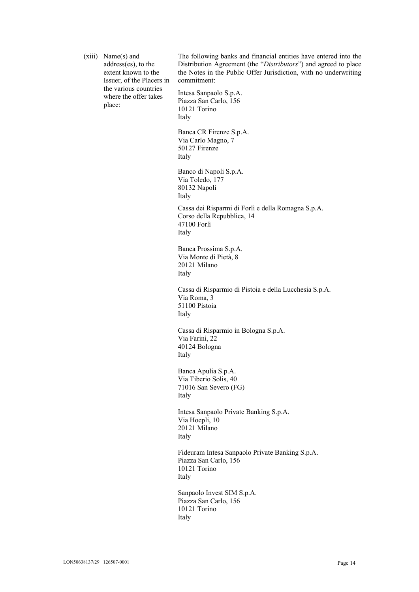| (xiii) | $Name(s)$ and<br>address(es), to the<br>extent known to the<br>Issuer, of the Placers in | The following banks and financial entities have entered into the<br>Distribution Agreement (the "Distributors") and agreed to place<br>the Notes in the Public Offer Jurisdiction, with no underwriting<br>commitment: |
|--------|------------------------------------------------------------------------------------------|------------------------------------------------------------------------------------------------------------------------------------------------------------------------------------------------------------------------|
|        | the various countries<br>where the offer takes<br>place:                                 | Intesa Sanpaolo S.p.A.<br>Piazza San Carlo, 156<br>10121 Torino<br>Italy                                                                                                                                               |
|        |                                                                                          | Banca CR Firenze S.p.A.<br>Via Carlo Magno, 7<br>50127 Firenze<br>Italy                                                                                                                                                |
|        |                                                                                          | Banco di Napoli S.p.A.<br>Via Toledo, 177<br>80132 Napoli<br>Italy                                                                                                                                                     |
|        |                                                                                          | Cassa dei Risparmi di Forlì e della Romagna S.p.A.<br>Corso della Repubblica, 14<br>47100 Forlì<br>Italy                                                                                                               |
|        |                                                                                          | Banca Prossima S.p.A.<br>Via Monte di Pietà, 8<br>20121 Milano<br>Italy                                                                                                                                                |
|        |                                                                                          | Cassa di Risparmio di Pistoia e della Lucchesia S.p.A.<br>Via Roma, 3<br>51100 Pistoia<br>Italy                                                                                                                        |
|        |                                                                                          | Cassa di Risparmio in Bologna S.p.A.<br>Via Farini, 22<br>40124 Bologna<br>Italy                                                                                                                                       |
|        |                                                                                          | Banca Apulia S.p.A.<br>Via Tiberio Solis, 40<br>71016 San Severo (FG)<br>Italy                                                                                                                                         |
|        |                                                                                          | Intesa Sanpaolo Private Banking S.p.A.<br>Via Hoepli, 10<br>20121 Milano<br>Italy                                                                                                                                      |
|        |                                                                                          | Fideuram Intesa Sanpaolo Private Banking S.p.A.<br>Piazza San Carlo, 156<br>10121 Torino<br>Italy                                                                                                                      |
|        |                                                                                          | Sanpaolo Invest SIM S.p.A.<br>Piazza San Carlo, 156<br>10121 Torino<br>Italy                                                                                                                                           |